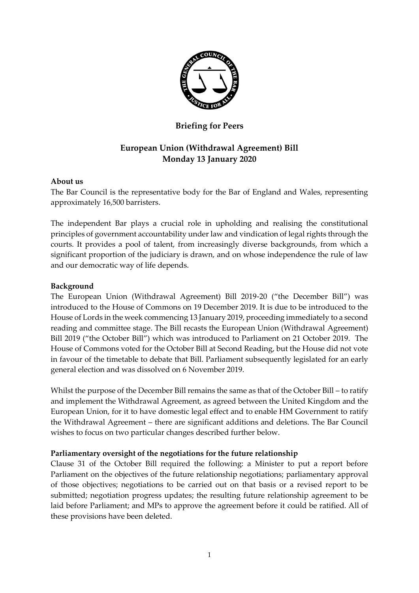

## **Briefing for Peers**

# **European Union (Withdrawal Agreement) Bill Monday 13 January 2020**

#### **About us**

The Bar Council is the representative body for the Bar of England and Wales, representing approximately 16,500 barristers.

The independent Bar plays a crucial role in upholding and realising the constitutional principles of government accountability under law and vindication of legal rights through the courts. It provides a pool of talent, from increasingly diverse backgrounds, from which a significant proportion of the judiciary is drawn, and on whose independence the rule of law and our democratic way of life depends.

#### **Background**

The European Union (Withdrawal Agreement) Bill 2019-20 ("the December Bill") was introduced to the House of Commons on 19 December 2019. It is due to be introduced to the House of Lords in the week commencing 13 January 2019, proceeding immediately to a second reading and committee stage. The Bill recasts the European Union (Withdrawal Agreement) Bill 2019 ("the October Bill") which was introduced to Parliament on 21 October 2019. The House of Commons voted for the October Bill at Second Reading, but the House did not vote in favour of the timetable to debate that Bill. Parliament subsequently legislated for an early general election and was dissolved on 6 November 2019.

Whilst the purpose of the December Bill remains the same as that of the October Bill – to ratify and implement the Withdrawal Agreement, as agreed between the United Kingdom and the European Union, for it to have domestic legal effect and to enable HM Government to ratify the Withdrawal Agreement – there are significant additions and deletions. The Bar Council wishes to focus on two particular changes described further below.

### **Parliamentary oversight of the negotiations for the future relationship**

Clause 31 of the October Bill required the following: a Minister to put a report before Parliament on the objectives of the future relationship negotiations; parliamentary approval of those objectives; negotiations to be carried out on that basis or a revised report to be submitted; negotiation progress updates; the resulting future relationship agreement to be laid before Parliament; and MPs to approve the agreement before it could be ratified. All of these provisions have been deleted.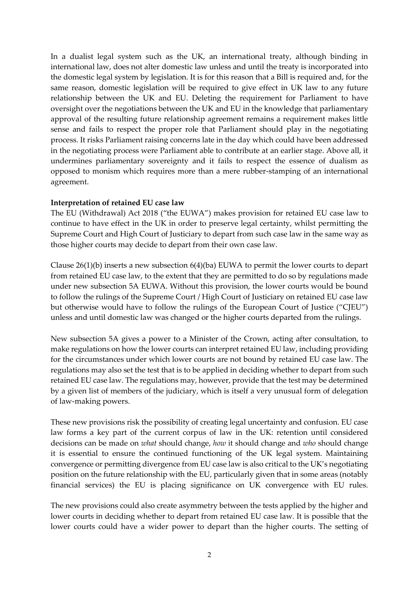In a dualist legal system such as the UK, an international treaty, although binding in international law, does not alter domestic law unless and until the treaty is incorporated into the domestic legal system by legislation. It is for this reason that a Bill is required and, for the same reason, domestic legislation will be required to give effect in UK law to any future relationship between the UK and EU. Deleting the requirement for Parliament to have oversight over the negotiations between the UK and EU in the knowledge that parliamentary approval of the resulting future relationship agreement remains a requirement makes little sense and fails to respect the proper role that Parliament should play in the negotiating process. It risks Parliament raising concerns late in the day which could have been addressed in the negotiating process were Parliament able to contribute at an earlier stage. Above all, it undermines parliamentary sovereignty and it fails to respect the essence of dualism as opposed to monism which requires more than a mere rubber-stamping of an international agreement.

#### **Interpretation of retained EU case law**

The EU (Withdrawal) Act 2018 ("the EUWA") makes provision for retained EU case law to continue to have effect in the UK in order to preserve legal certainty, whilst permitting the Supreme Court and High Court of Justiciary to depart from such case law in the same way as those higher courts may decide to depart from their own case law.

Clause 26(1)(b) inserts a new subsection 6(4)(ba) EUWA to permit the lower courts to depart from retained EU case law, to the extent that they are permitted to do so by regulations made under new subsection 5A EUWA. Without this provision, the lower courts would be bound to follow the rulings of the Supreme Court / High Court of Justiciary on retained EU case law but otherwise would have to follow the rulings of the European Court of Justice ("CJEU") unless and until domestic law was changed or the higher courts departed from the rulings.

New subsection 5A gives a power to a Minister of the Crown, acting after consultation, to make regulations on how the lower courts can interpret retained EU law, including providing for the circumstances under which lower courts are not bound by retained EU case law. The regulations may also set the test that is to be applied in deciding whether to depart from such retained EU case law. The regulations may, however, provide that the test may be determined by a given list of members of the judiciary, which is itself a very unusual form of delegation of law-making powers.

These new provisions risk the possibility of creating legal uncertainty and confusion. EU case law forms a key part of the current corpus of law in the UK: retention until considered decisions can be made on *what* should change, *how* it should change and *who* should change it is essential to ensure the continued functioning of the UK legal system. Maintaining convergence or permitting divergence from EU case law is also critical to the UK's negotiating position on the future relationship with the EU, particularly given that in some areas (notably financial services) the EU is placing significance on UK convergence with EU rules.

The new provisions could also create asymmetry between the tests applied by the higher and lower courts in deciding whether to depart from retained EU case law. It is possible that the lower courts could have a wider power to depart than the higher courts. The setting of